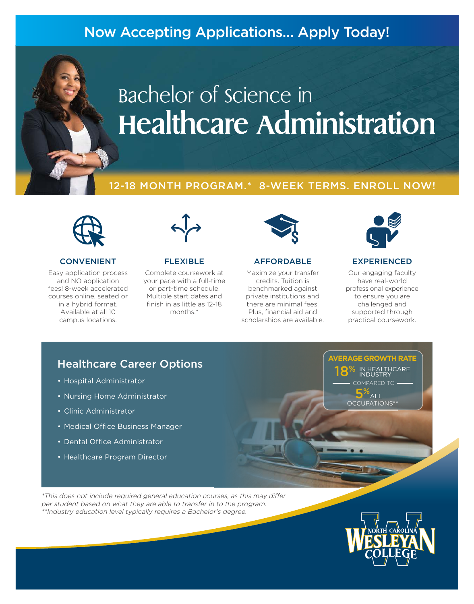# Now Accepting Applications… Apply Today!

# Bachelor of science in **Healthcare Administration**

## 12-18 MONTH PROGRAM.\* 8-WEEK TERMS. ENROLL NOW!



#### CONVENIENT

Easy application process and NO application fees! 8-week accelerated courses online, seated or in a hybrid format. Available at all 10 campus locations.



#### FLEXIBLE

Complete coursework at your pace with a full-time or part-time schedule. Multiple start dates and finish in as little as 12-18 months.\*



#### AFFORDABLE

Maximize your transfer credits. Tuition is benchmarked against private institutions and there are minimal fees. Plus, financial aid and scholarships are available.



#### EXPERIENCED

Our engaging faculty have real-world professional experience to ensure you are challenged and supported through practical coursework.

## Healthcare Career Options

- Hospital Administrator
- Nursing Home Administrator
- Clinic Administrator
- Medical Office Business Manager
- Dental Office Administrator
- Healthcare Program Director

HEALTHCARE INDUSTRY COMPARED TO 5%  $\Delta$ LI OCCUPATIONS\*\* 18%

**AVERAGE GROWTH RATE**

\*This does not include required general education courses, as this may differ per student based on what they are able to transfer in to the program. \*\*Industry education level typically requires a Bachelor's degree.